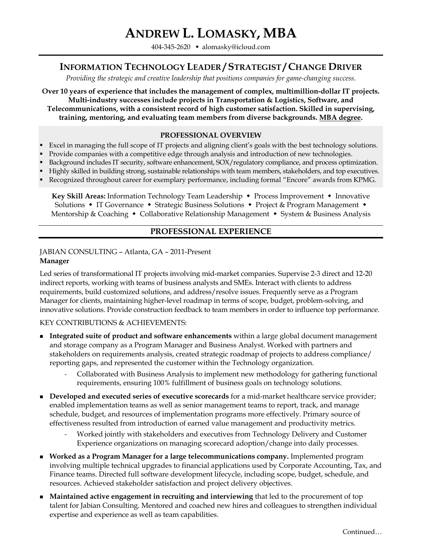# **ANDREW L. LOMASKY, MBA**

404-345-2620  [alomasky@icloud.com](mailto:alomasky@icloud.com)

# **INFORMATION TECHNOLOGY LEADER / STRATEGIST / CHANGE DRIVER**

*Providing the strategic and creative leadership that positions companies for game-changing success.*

**Over 10 years of experience that includes the management of complex, multimillion-dollar IT projects. Multi-industry successes include projects in Transportation & Logistics, Software, and Telecommunications, with a consistent record of high customer satisfaction. Skilled in supervising, training, mentoring, and evaluating team members from diverse backgrounds. MBA degree.**

#### **PROFESSIONAL OVERVIEW**

- Excel in managing the full scope of IT projects and aligning client's goals with the best technology solutions.
- Provide companies with a competitive edge through analysis and introduction of new technologies.
- Background includes IT security, software enhancement, SOX/regulatory compliance, and process optimization.
- **Highly skilled in building strong, sustainable relationships with team members, stakeholders, and top executives.**  Recognized throughout career for exemplary performance, including formal "Encore" awards from KPMG.
	- **Key Skill Areas:** Information Technology Team Leadership Process Improvement Innovative

Solutions • IT Governance • Strategic Business Solutions • Project & Program Management • Mentorship & Coaching  $\bullet$  Collaborative Relationship Management  $\bullet$  System & Business Analysis

#### **PROFESSIONAL EXPERIENCE**

#### JABIAN CONSULTING – Atlanta, GA – 2011-Present **Manager**

Led series of transformational IT projects involving mid-market companies. Supervise 2-3 direct and 12-20 indirect reports, working with teams of business analysts and SMEs. Interact with clients to address requirements, build customized solutions, and address/resolve issues. Frequently serve as a Program Manager for clients, maintaining higher-level roadmap in terms of scope, budget, problem-solving, and innovative solutions. Provide construction feedback to team members in order to influence top performance.

#### KEY CONTRIBUTIONS & ACHIEVEMENTS:

- **Integrated suite of product and software enhancements** within a large global document management and storage company as a Program Manager and Business Analyst. Worked with partners and stakeholders on requirements analysis, created strategic roadmap of projects to address compliance/ reporting gaps, and represented the customer within the Technology organization.
	- Collaborated with Business Analysis to implement new methodology for gathering functional requirements, ensuring 100% fulfillment of business goals on technology solutions.
- **Developed and executed series of executive scorecards** for a mid-market healthcare service provider; enabled implementation teams as well as senior management teams to report, track, and manage schedule, budget, and resources of implementation programs more effectively. Primary source of effectiveness resulted from introduction of earned value management and productivity metrics.
	- Worked jointly with stakeholders and executives from Technology Delivery and Customer Experience organizations on managing scorecard adoption/change into daily processes.
- **Worked as a Program Manager for a large telecommunications company.** Implemented program involving multiple technical upgrades to financial applications used by Corporate Accounting, Tax, and Finance teams. Directed full software development lifecycle, including scope, budget, schedule, and resources. Achieved stakeholder satisfaction and project delivery objectives.
- **Maintained active engagement in recruiting and interviewing** that led to the procurement of top talent for Jabian Consulting. Mentored and coached new hires and colleagues to strengthen individual expertise and experience as well as team capabilities.